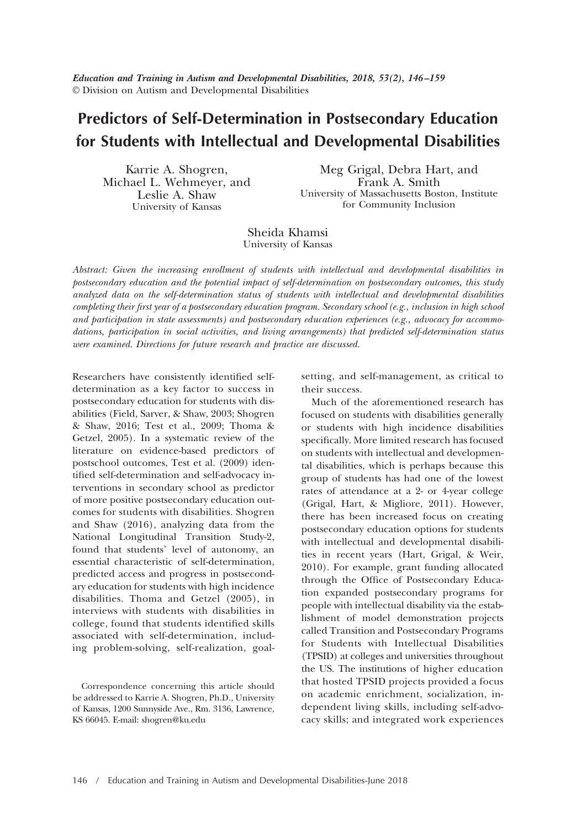*Education and Training in Autism and Developmental Disabilities, 2018, 53(2), 146 –159* © Division on Autism and Developmental Disabilities

# **Predictors of Self-Determination in Postsecondary Education for Students with Intellectual and Developmental Disabilities**

Karrie A. Shogren, Michael L. Wehmeyer, and Leslie A. Shaw University of Kansas

Meg Grigal, Debra Hart, and Frank A. Smith University of Massachusetts Boston, Institute for Community Inclusion

Sheida Khamsi University of Kansas

*Abstract: Given the increasing enrollment of students with intellectual and developmental disabilities in postsecondary education and the potential impact of self-determination on postsecondary outcomes, this study analyzed data on the self-determination status of students with intellectual and developmental disabilities completing their first year of a postsecondary education program. Secondary school (e.g., inclusion in high school and participation in state assessments) and postsecondary education experiences (e.g., advocacy for accommodations, participation in social activities, and living arrangements) that predicted self-determination status were examined. Directions for future research and practice are discussed.*

Researchers have consistently identified selfdetermination as a key factor to success in postsecondary education for students with disabilities (Field, Sarver, & Shaw, 2003; Shogren & Shaw, 2016; Test et al., 2009; Thoma & Getzel, 2005). In a systematic review of the literature on evidence-based predictors of postschool outcomes, Test et al. (2009) identified self-determination and self-advocacy interventions in secondary school as predictor of more positive postsecondary education outcomes for students with disabilities. Shogren and Shaw (2016), analyzing data from the National Longitudinal Transition Study-2, found that students' level of autonomy, an essential characteristic of self-determination, predicted access and progress in postsecondary education for students with high incidence disabilities. Thoma and Getzel (2005), in interviews with students with disabilities in college, found that students identified skills associated with self-determination, including problem-solving, self-realization, goal-

Correspondence concerning this article should be addressed to Karrie A. Shogren, Ph.D., University of Kansas, 1200 Sunnyside Ave., Rm. 3136, Lawrence, KS 66045. E-mail: [shogren@ku.edu](mailto:shogren@ku.edu)

setting, and self-management, as critical to their success.

Much of the aforementioned research has focused on students with disabilities generally or students with high incidence disabilities specifically. More limited research has focused on students with intellectual and developmental disabilities, which is perhaps because this group of students has had one of the lowest rates of attendance at a 2- or 4-year college (Grigal, Hart, & Migliore, 2011). However, there has been increased focus on creating postsecondary education options for students with intellectual and developmental disabilities in recent years (Hart, Grigal, & Weir, 2010). For example, grant funding allocated through the Office of Postsecondary Education expanded postsecondary programs for people with intellectual disability via the establishment of model demonstration projects called Transition and Postsecondary Programs for Students with Intellectual Disabilities (TPSID) at colleges and universities throughout the US. The institutions of higher education that hosted TPSID projects provided a focus on academic enrichment, socialization, independent living skills, including self-advocacy skills; and integrated work experiences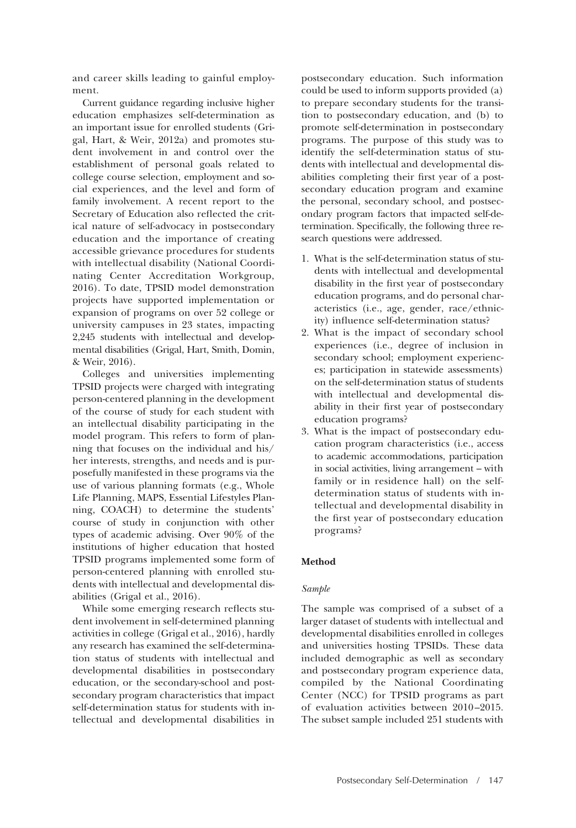and career skills leading to gainful employment.

Current guidance regarding inclusive higher education emphasizes self-determination as an important issue for enrolled students (Grigal, Hart, & Weir, 2012a) and promotes student involvement in and control over the establishment of personal goals related to college course selection, employment and social experiences, and the level and form of family involvement. A recent report to the Secretary of Education also reflected the critical nature of self-advocacy in postsecondary education and the importance of creating accessible grievance procedures for students with intellectual disability (National Coordinating Center Accreditation Workgroup, 2016). To date, TPSID model demonstration projects have supported implementation or expansion of programs on over 52 college or university campuses in 23 states, impacting 2,245 students with intellectual and developmental disabilities (Grigal, Hart, Smith, Domin, & Weir, 2016).

Colleges and universities implementing TPSID projects were charged with integrating person-centered planning in the development of the course of study for each student with an intellectual disability participating in the model program. This refers to form of planning that focuses on the individual and his/ her interests, strengths, and needs and is purposefully manifested in these programs via the use of various planning formats (e.g., Whole Life Planning, MAPS, Essential Lifestyles Planning, COACH) to determine the students' course of study in conjunction with other types of academic advising. Over 90% of the institutions of higher education that hosted TPSID programs implemented some form of person-centered planning with enrolled students with intellectual and developmental disabilities (Grigal et al., 2016).

While some emerging research reflects student involvement in self-determined planning activities in college (Grigal et al., 2016), hardly any research has examined the self-determination status of students with intellectual and developmental disabilities in postsecondary education, or the secondary-school and postsecondary program characteristics that impact self-determination status for students with intellectual and developmental disabilities in

postsecondary education. Such information could be used to inform supports provided (a) to prepare secondary students for the transition to postsecondary education, and (b) to promote self-determination in postsecondary programs. The purpose of this study was to identify the self-determination status of students with intellectual and developmental disabilities completing their first year of a postsecondary education program and examine the personal, secondary school, and postsecondary program factors that impacted self-determination. Specifically, the following three research questions were addressed.

- 1. What is the self-determination status of students with intellectual and developmental disability in the first year of postsecondary education programs, and do personal characteristics (i.e., age, gender, race/ethnicity) influence self-determination status?
- 2. What is the impact of secondary school experiences (i.e., degree of inclusion in secondary school; employment experiences; participation in statewide assessments) on the self-determination status of students with intellectual and developmental disability in their first year of postsecondary education programs?
- 3. What is the impact of postsecondary education program characteristics (i.e., access to academic accommodations, participation in social activities, living arrangement – with family or in residence hall) on the selfdetermination status of students with intellectual and developmental disability in the first year of postsecondary education programs?

# **Method**

# *Sample*

The sample was comprised of a subset of a larger dataset of students with intellectual and developmental disabilities enrolled in colleges and universities hosting TPSIDs. These data included demographic as well as secondary and postsecondary program experience data, compiled by the National Coordinating Center (NCC) for TPSID programs as part of evaluation activities between 2010 –2015. The subset sample included 251 students with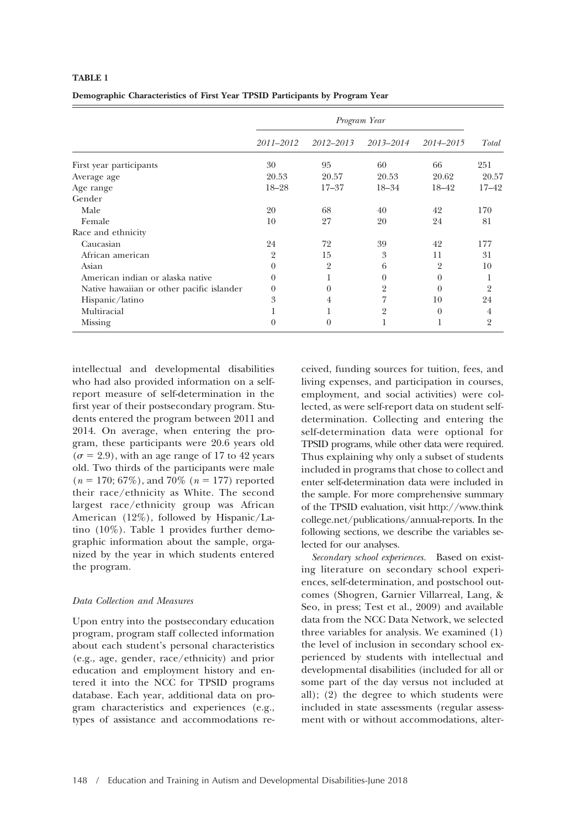| Demographic Characteristics of First Year TPSID Participants by Program Year |  |  |  |  |
|------------------------------------------------------------------------------|--|--|--|--|
|                                                                              |  |  |  |  |

|                                           | Program Year   |                |           |           |                |  |  |
|-------------------------------------------|----------------|----------------|-----------|-----------|----------------|--|--|
|                                           | 2011-2012      | 2012-2013      | 2013-2014 | 2014-2015 | Total          |  |  |
| First year participants                   | 30             | 95             | 60        | 66        | 251            |  |  |
| Average age                               | 20.53          | 20.57          | 20.53     | 20.62     | 20.57          |  |  |
| Age range                                 | $18 - 28$      | $17 - 37$      | $18 - 34$ | 18-42     | $17 - 42$      |  |  |
| Gender                                    |                |                |           |           |                |  |  |
| Male                                      | 20             | 68             | 40        | 42        | 170            |  |  |
| Female                                    | 10             | 27             | 20        | 24        | 81             |  |  |
| Race and ethnicity                        |                |                |           |           |                |  |  |
| Caucasian                                 | 24             | 72             | 39        | 42        | 177            |  |  |
| African american                          | $\overline{2}$ | 15             | 3         | 11        | 31             |  |  |
| Asian                                     | $\Omega$       | $\overline{2}$ | 6         | 2         | 10             |  |  |
| American indian or alaska native          | $\Omega$       |                | $\theta$  | $\Omega$  | 1              |  |  |
| Native hawaiian or other pacific islander | 0              | $\Omega$       | 2         | $\Omega$  | $\overline{2}$ |  |  |
| Hispanic/latino                           | 3              | 4              | 7         | 10        | 24             |  |  |
| Multiracial                               |                |                | 2         | $\Omega$  | 4              |  |  |
| Missing                                   | 0              | $\theta$       |           |           | $\overline{2}$ |  |  |

intellectual and developmental disabilities who had also provided information on a selfreport measure of self-determination in the first year of their postsecondary program. Students entered the program between 2011 and 2014. On average, when entering the program, these participants were 20.6 years old  $(\sigma = 2.9)$ , with an age range of 17 to 42 years old. Two thirds of the participants were male  $(n = 170; 67\%)$ , and 70%  $(n = 177)$  reported their race/ethnicity as White. The second largest race/ethnicity group was African American (12%), followed by Hispanic/Latino (10%). Table 1 provides further demographic information about the sample, organized by the year in which students entered the program.

## *Data Collection and Measures*

Upon entry into the postsecondary education program, program staff collected information about each student's personal characteristics (e.g., age, gender, race/ethnicity) and prior education and employment history and entered it into the NCC for TPSID programs database. Each year, additional data on program characteristics and experiences (e.g., types of assistance and accommodations re-

ceived, funding sources for tuition, fees, and living expenses, and participation in courses, employment, and social activities) were collected, as were self-report data on student selfdetermination. Collecting and entering the self-determination data were optional for TPSID programs, while other data were required. Thus explaining why only a subset of students included in programs that chose to collect and enter self-determination data were included in the sample. For more comprehensive summary of the TPSID evaluation, visit [http://www.think](http://www.thinkcollege.net/publications/annual-reports) [college.net/publications/annual-reports.](http://www.thinkcollege.net/publications/annual-reports) In the following sections, we describe the variables selected for our analyses.

*Secondary school experiences.* Based on existing literature on secondary school experiences, self-determination, and postschool outcomes (Shogren, Garnier Villarreal, Lang, & Seo, in press; Test et al., 2009) and available data from the NCC Data Network, we selected three variables for analysis. We examined (1) the level of inclusion in secondary school experienced by students with intellectual and developmental disabilities (included for all or some part of the day versus not included at all); (2) the degree to which students were included in state assessments (regular assessment with or without accommodations, alter-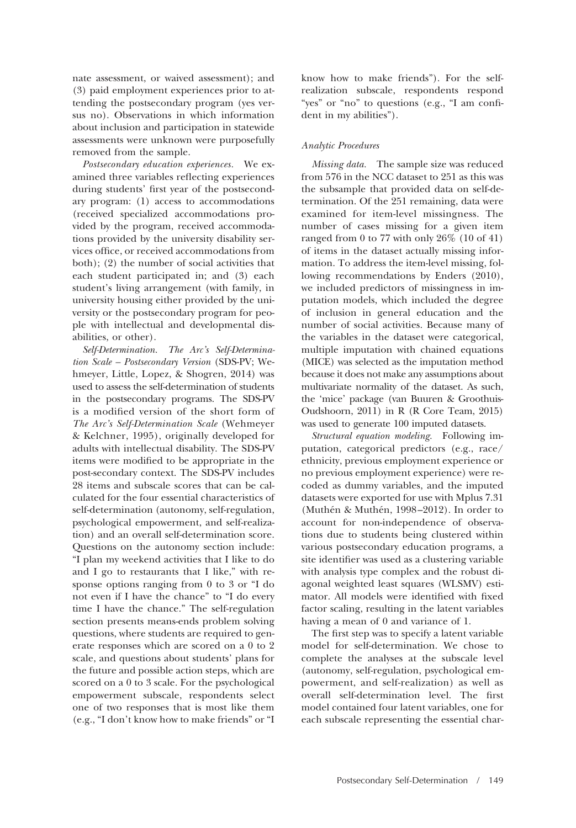nate assessment, or waived assessment); and (3) paid employment experiences prior to attending the postsecondary program (yes versus no). Observations in which information about inclusion and participation in statewide assessments were unknown were purposefully removed from the sample.

*Postsecondary education experiences.* We examined three variables reflecting experiences during students' first year of the postsecondary program: (1) access to accommodations (received specialized accommodations provided by the program, received accommodations provided by the university disability services office, or received accommodations from both); (2) the number of social activities that each student participated in; and (3) each student's living arrangement (with family, in university housing either provided by the university or the postsecondary program for people with intellectual and developmental disabilities, or other).

*Self-Determination. The Arc's Self-Determination Scale – Postsecondary Version* (SDS-PV; Wehmeyer, Little, Lopez, & Shogren, 2014) was used to assess the self-determination of students in the postsecondary programs. The SDS-PV is a modified version of the short form of *The Arc's Self-Determination Scale* (Wehmeyer & Kelchner, 1995), originally developed for adults with intellectual disability. The SDS-PV items were modified to be appropriate in the post-secondary context. The SDS-PV includes 28 items and subscale scores that can be calculated for the four essential characteristics of self-determination (autonomy, self-regulation, psychological empowerment, and self-realization) and an overall self-determination score. Questions on the autonomy section include: "I plan my weekend activities that I like to do and I go to restaurants that I like," with response options ranging from 0 to 3 or "I do not even if I have the chance" to "I do every time I have the chance." The self-regulation section presents means-ends problem solving questions, where students are required to generate responses which are scored on a 0 to 2 scale, and questions about students' plans for the future and possible action steps, which are scored on a 0 to 3 scale. For the psychological empowerment subscale, respondents select one of two responses that is most like them (e.g., "I don't know how to make friends" or "I know how to make friends"). For the selfrealization subscale, respondents respond "yes" or "no" to questions (e.g., "I am confident in my abilities").

# *Analytic Procedures*

*Missing data.* The sample size was reduced from 576 in the NCC dataset to 251 as this was the subsample that provided data on self-determination. Of the 251 remaining, data were examined for item-level missingness. The number of cases missing for a given item ranged from 0 to 77 with only  $26\%$  (10 of 41) of items in the dataset actually missing information. To address the item-level missing, following recommendations by Enders (2010), we included predictors of missingness in imputation models, which included the degree of inclusion in general education and the number of social activities. Because many of the variables in the dataset were categorical, multiple imputation with chained equations (MICE) was selected as the imputation method because it does not make any assumptions about multivariate normality of the dataset. As such, the 'mice' package (van Buuren & Groothuis-Oudshoorn, 2011) in R (R Core Team, 2015) was used to generate 100 imputed datasets.

*Structural equation modeling.* Following imputation, categorical predictors (e.g., race/ ethnicity, previous employment experience or no previous employment experience) were recoded as dummy variables, and the imputed datasets were exported for use with Mplus 7.31 (Muthén & Muthén, 1998-2012). In order to account for non-independence of observations due to students being clustered within various postsecondary education programs, a site identifier was used as a clustering variable with analysis type complex and the robust diagonal weighted least squares (WLSMV) estimator. All models were identified with fixed factor scaling, resulting in the latent variables having a mean of 0 and variance of 1.

The first step was to specify a latent variable model for self-determination. We chose to complete the analyses at the subscale level (autonomy, self-regulation, psychological empowerment, and self-realization) as well as overall self-determination level. The first model contained four latent variables, one for each subscale representing the essential char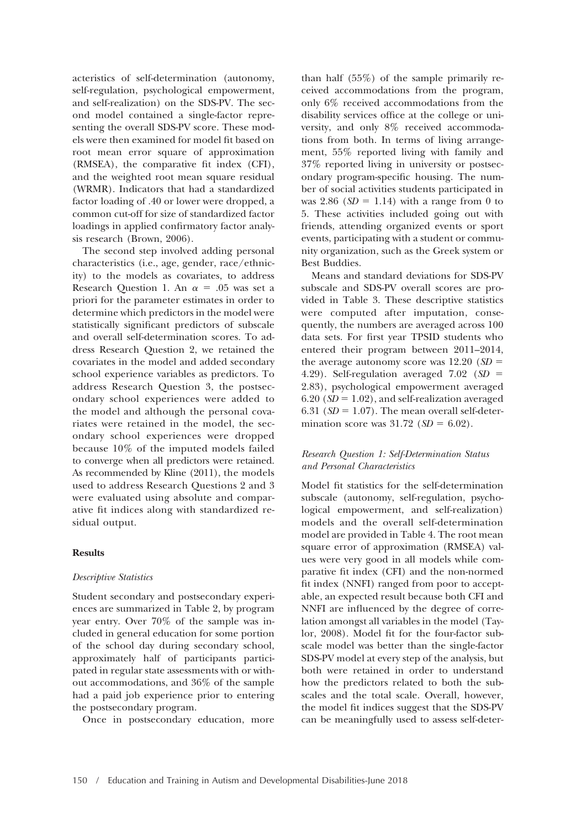acteristics of self-determination (autonomy, self-regulation, psychological empowerment, and self-realization) on the SDS-PV. The second model contained a single-factor representing the overall SDS-PV score. These models were then examined for model fit based on root mean error square of approximation (RMSEA), the comparative fit index (CFI), and the weighted root mean square residual (WRMR). Indicators that had a standardized factor loading of .40 or lower were dropped, a common cut-off for size of standardized factor loadings in applied confirmatory factor analysis research (Brown, 2006).

The second step involved adding personal characteristics (i.e., age, gender, race/ethnicity) to the models as covariates, to address Research Question 1. An  $\alpha = .05$  was set a priori for the parameter estimates in order to determine which predictors in the model were statistically significant predictors of subscale and overall self-determination scores. To address Research Question 2, we retained the covariates in the model and added secondary school experience variables as predictors. To address Research Question 3, the postsecondary school experiences were added to the model and although the personal covariates were retained in the model, the secondary school experiences were dropped because 10% of the imputed models failed to converge when all predictors were retained. As recommended by Kline (2011), the models used to address Research Questions 2 and 3 were evaluated using absolute and comparative fit indices along with standardized residual output.

# **Results**

#### *Descriptive Statistics*

Student secondary and postsecondary experiences are summarized in Table 2, by program year entry. Over 70% of the sample was included in general education for some portion of the school day during secondary school, approximately half of participants participated in regular state assessments with or without accommodations, and 36% of the sample had a paid job experience prior to entering the postsecondary program.

Once in postsecondary education, more

than half (55%) of the sample primarily received accommodations from the program, only 6% received accommodations from the disability services office at the college or university, and only 8% received accommodations from both. In terms of living arrangement, 55% reported living with family and 37% reported living in university or postsecondary program-specific housing. The number of social activities students participated in was  $2.86$  ( $SD = 1.14$ ) with a range from 0 to 5. These activities included going out with friends, attending organized events or sport events, participating with a student or community organization, such as the Greek system or Best Buddies.

Means and standard deviations for SDS-PV subscale and SDS-PV overall scores are provided in Table 3. These descriptive statistics were computed after imputation, consequently, the numbers are averaged across 100 data sets. For first year TPSID students who entered their program between 2011–2014, the average autonomy score was  $12.20$  (*SD* = 4.29). Self-regulation averaged 7.02 (*SD* - 2.83), psychological empowerment averaged  $6.20$  ( $SD = 1.02$ ), and self-realization averaged  $6.31$  ( $SD = 1.07$ ). The mean overall self-determination score was  $31.72$  ( $SD = 6.02$ ).

# *Research Question 1: Self-Determination Status and Personal Characteristics*

Model fit statistics for the self-determination subscale (autonomy, self-regulation, psychological empowerment, and self-realization) models and the overall self-determination model are provided in Table 4. The root mean square error of approximation (RMSEA) values were very good in all models while comparative fit index (CFI) and the non-normed fit index (NNFI) ranged from poor to acceptable, an expected result because both CFI and NNFI are influenced by the degree of correlation amongst all variables in the model (Taylor, 2008). Model fit for the four-factor subscale model was better than the single-factor SDS-PV model at every step of the analysis, but both were retained in order to understand how the predictors related to both the subscales and the total scale. Overall, however, the model fit indices suggest that the SDS-PV can be meaningfully used to assess self-deter-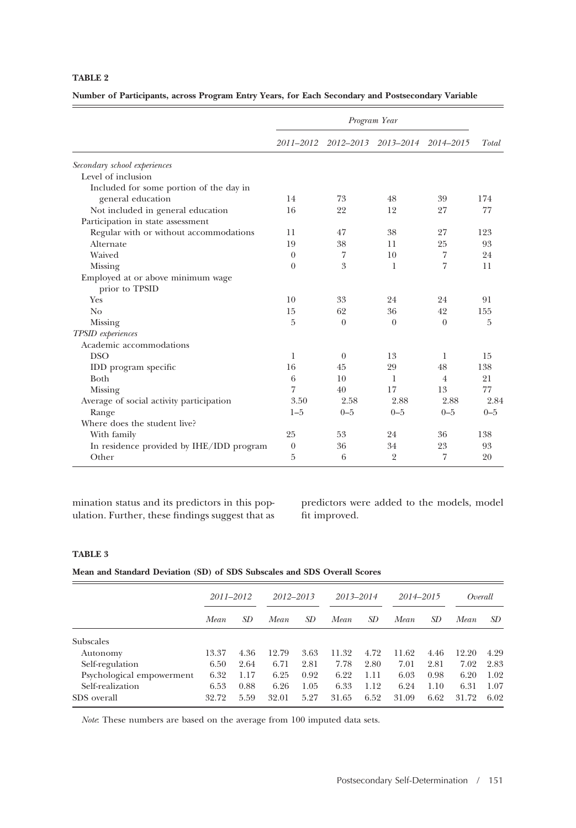**Number of Participants, across Program Entry Years, for Each Secondary and Postsecondary Variable**

|                                                     | Program Year |          |                     |                |         |  |
|-----------------------------------------------------|--------------|----------|---------------------|----------------|---------|--|
|                                                     | 2011-2012    |          | 2012–2013 2013–2014 | 2014–2015      | Total   |  |
| Secondary school experiences                        |              |          |                     |                |         |  |
| Level of inclusion                                  |              |          |                     |                |         |  |
| Included for some portion of the day in             |              |          |                     |                |         |  |
| general education                                   | 14           | 73       | 48                  | 39             | 174     |  |
| Not included in general education                   | 16           | 22       | 12                  | 27             | 77      |  |
| Participation in state assessment                   |              |          |                     |                |         |  |
| Regular with or without accommodations              | 11           | 47       | 38                  | 27             | 123     |  |
| Alternate                                           | 19           | 38       | 11                  | 25             | 93      |  |
| Waived                                              | $\theta$     | 7        | 10                  | 7              | 24      |  |
| Missing                                             | $\Omega$     | 3        | 1                   | 7              | 11      |  |
| Employed at or above minimum wage<br>prior to TPSID |              |          |                     |                |         |  |
| Yes                                                 | 10           | 33       | 24                  | 24             | 91      |  |
| N <sub>0</sub>                                      | 15           | 62       | 36                  | 42             | 155     |  |
| Missing                                             | 5            | $\Omega$ | $\Omega$            | $\theta$       | 5       |  |
| <b>TPSID</b> experiences                            |              |          |                     |                |         |  |
| Academic accommodations                             |              |          |                     |                |         |  |
| <b>DSO</b>                                          | 1            | $\Omega$ | 13                  | 1              | 15      |  |
| IDD program specific                                | 16           | 45       | 29                  | 48             | 138     |  |
| Both                                                | 6            | 10       | 1                   | $\overline{4}$ | 21      |  |
| Missing                                             | 7            | 40       | 17                  | 13             | 77      |  |
| Average of social activity participation            | 3.50         | 2.58     | 2.88                | 2.88           | 2.84    |  |
| Range                                               | $1 - 5$      | $0 - 5$  | $0 - 5$             | $0 - 5$        | $0 - 5$ |  |
| Where does the student live?                        |              |          |                     |                |         |  |
| With family                                         | 25           | 53       | 24                  | 36             | 138     |  |
| In residence provided by IHE/IDD program            | $\theta$     | 36       | 34                  | 23             | 93      |  |
| Other                                               | 5            | 6        | $\overline{2}$      | 7              | 20      |  |

mination status and its predictors in this population. Further, these findings suggest that as predictors were added to the models, model fit improved.

# **TABLE 3**

**Mean and Standard Deviation (SD) of SDS Subscales and SDS Overall Scores**

| $2013 - 2014$<br>2014–2015<br>Overall                        | 2012-2013 |       | $2011 - 2012$ |       |                           |
|--------------------------------------------------------------|-----------|-------|---------------|-------|---------------------------|
| SD.<br>SD.<br>Mean<br>SD<br>Mean<br>SD<br>Mean               |           | Mean  | SD            | Mean  |                           |
|                                                              |           |       |               |       | <b>Subscales</b>          |
| 4.29<br>11.32<br>4.72<br>11.62<br>3.63<br>12.20<br>4.46      |           | 12.79 | 4.36          | 13.37 | Autonomy                  |
| 2.83<br>6.71<br>2.81<br>7.78<br>2.80<br>2.81<br>7.01<br>7.02 |           |       | 2.64          | 6.50  | Self-regulation           |
| 6.25<br>1.02<br>0.92<br>6.22<br>6.03<br>1.11<br>0.98<br>6.20 |           |       | 1.17          | 6.32  |                           |
| 1.07<br>6.26<br>1.05<br>6.33<br>1.12<br>6.24<br>1.10<br>6.31 |           |       | 0.88          | 6.53  | Self-realization          |
| 5.27<br>6.62<br>6.02<br>31.65<br>6.52<br>31.09<br>31.72      |           | 32.01 | 5.59          | 32.72 | SDS overall               |
|                                                              |           |       |               |       | Psychological empowerment |

*Note*: These numbers are based on the average from 100 imputed data sets.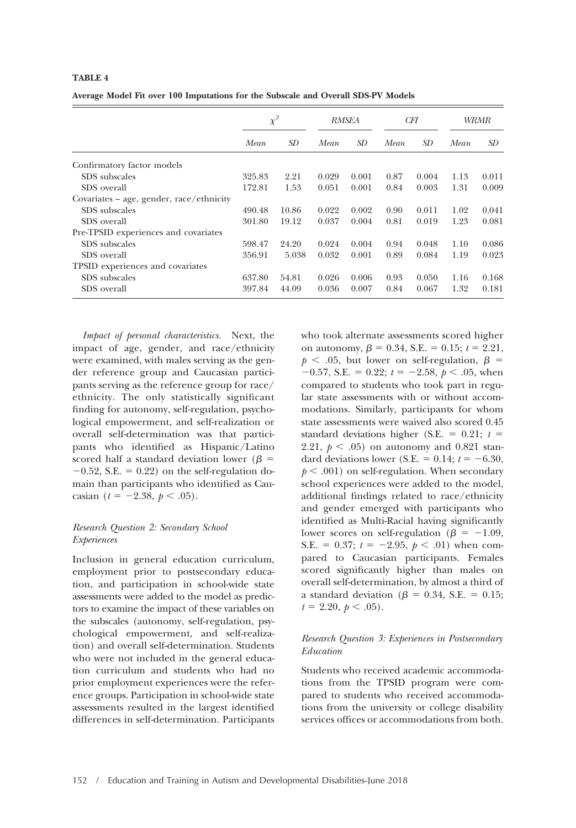**Average Model Fit over 100 Imputations for the Subscale and Overall SDS-PV Models**

|                                            | $\chi^2$ |       | <b>RMSEA</b> |       | CFI  |       | WRMR |       |
|--------------------------------------------|----------|-------|--------------|-------|------|-------|------|-------|
|                                            | Mean     | SD    | Mean         | SD.   | Mean | SD.   | Mean | SD.   |
| Confirmatory factor models                 |          |       |              |       |      |       |      |       |
| SDS subscales                              | 325.83   | 2.21  | 0.029        | 0.001 | 0.87 | 0.004 | 1.13 | 0.011 |
| SDS overall                                | 172.81   | 1.53  | 0.051        | 0.001 | 0.84 | 0.003 | 1.31 | 0.009 |
| Covariates $-$ age, gender, race/ethnicity |          |       |              |       |      |       |      |       |
| SDS subscales                              | 490.48   | 10.86 | 0.022        | 0.002 | 0.90 | 0.011 | 1.02 | 0.041 |
| SDS overall                                | 301.80   | 19.12 | 0.037        | 0.004 | 0.81 | 0.019 | 1.23 | 0.081 |
| Pre-TPSID experiences and covariates       |          |       |              |       |      |       |      |       |
| SDS subscales                              | 598.47   | 24.20 | 0.024        | 0.004 | 0.94 | 0.048 | 1.10 | 0.086 |
| SDS overall                                | 356.91   | 5.038 | 0.032        | 0.001 | 0.89 | 0.084 | 1.19 | 0.023 |
| TPSID experiences and covariates           |          |       |              |       |      |       |      |       |
| SDS subscales                              | 637.80   | 54.81 | 0.026        | 0.006 | 0.93 | 0.050 | 1.16 | 0.168 |
| SDS overall                                | 397.84   | 44.09 | 0.036        | 0.007 | 0.84 | 0.067 | 1.32 | 0.181 |

*Impact of personal characteristics.* Next, the impact of age, gender, and race/ethnicity were examined, with males serving as the gender reference group and Caucasian participants serving as the reference group for race/ ethnicity. The only statistically significant finding for autonomy, self-regulation, psychological empowerment, and self-realization or overall self-determination was that participants who identified as Hispanic/Latino scored half a standard deviation lower ( $\beta$  =  $-0.52$ , S.E. = 0.22) on the self-regulation domain than participants who identified as Caucasian ( $t = -2.38, p < .05$ ).

# *Research Question 2: Secondary School Experiences*

Inclusion in general education curriculum, employment prior to postsecondary education, and participation in school-wide state assessments were added to the model as predictors to examine the impact of these variables on the subscales (autonomy, self-regulation, psychological empowerment, and self-realization) and overall self-determination. Students who were not included in the general education curriculum and students who had no prior employment experiences were the reference groups. Participation in school-wide state assessments resulted in the largest identified differences in self-determination. Participants who took alternate assessments scored higher on autonomy,  $\beta = 0.34$ , S.E. = 0.15;  $t = 2.21$ ,  $p < .05$ , but lower on self-regulation,  $\beta =$  $-0.57$ , S.E. = 0.22;  $t = -2.58$ ,  $p < .05$ , when compared to students who took part in regular state assessments with or without accommodations. Similarly, participants for whom state assessments were waived also scored 0.45 standard deviations higher (S.E.  $= 0.21$ ;  $t =$ 2.21,  $p < .05$ ) on autonomy and 0.821 standard deviations lower (S.E.  $= 0.14; t = -6.30,$  $p < .001$ ) on self-regulation. When secondary school experiences were added to the model, additional findings related to race/ethnicity and gender emerged with participants who identified as Multi-Racial having significantly lower scores on self-regulation ( $\beta = -1.09$ , S.E. = 0.37;  $t = -2.95, p < .01$ ) when compared to Caucasian participants. Females scored significantly higher than males on overall self-determination, by almost a third of a standard deviation ( $\beta = 0.34$ , S.E. = 0.15;  $t = 2.20, p < .05$ .

# *Research Question 3: Experiences in Postsecondary Education*

Students who received academic accommodations from the TPSID program were compared to students who received accommodations from the university or college disability services offices or accommodations from both.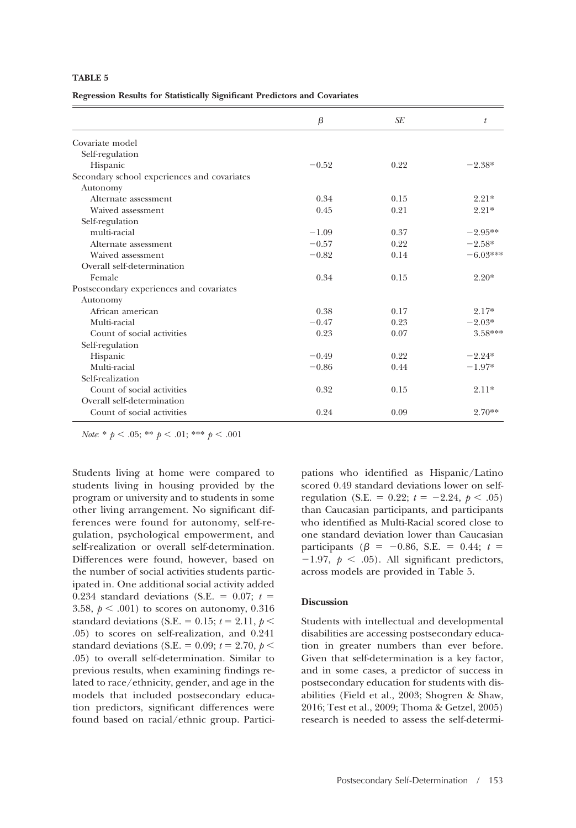**Regression Results for Statistically Significant Predictors and Covariates**

|                                             | β       | SE   | t          |
|---------------------------------------------|---------|------|------------|
| Covariate model                             |         |      |            |
| Self-regulation                             |         |      |            |
| Hispanic                                    | $-0.52$ | 0.22 | $-2.38*$   |
| Secondary school experiences and covariates |         |      |            |
| Autonomy                                    |         |      |            |
| Alternate assessment                        | 0.34    | 0.15 | $2.21*$    |
| Waived assessment                           | 0.45    | 0.21 | $2.21*$    |
| Self-regulation                             |         |      |            |
| multi-racial                                | $-1.09$ | 0.37 | $-2.95**$  |
| Alternate assessment                        | $-0.57$ | 0.22 | $-2.58*$   |
| Waived assessment                           | $-0.82$ | 0.14 | $-6.03***$ |
| Overall self-determination                  |         |      |            |
| Female                                      | 0.34    | 0.15 | $2.20*$    |
| Postsecondary experiences and covariates    |         |      |            |
| Autonomy                                    |         |      |            |
| African american                            | 0.38    | 0.17 | $2.17*$    |
| Multi-racial                                | $-0.47$ | 0.23 | $-2.03*$   |
| Count of social activities                  | 0.23    | 0.07 | $3.58***$  |
| Self-regulation                             |         |      |            |
| Hispanic                                    | $-0.49$ | 0.22 | $-2.24*$   |
| Multi-racial                                | $-0.86$ | 0.44 | $-1.97*$   |
| Self-realization                            |         |      |            |
| Count of social activities                  | 0.32    | 0.15 | $2.11*$    |
| Overall self-determination                  |         |      |            |
| Count of social activities                  | 0.24    | 0.09 | $2.70**$   |
|                                             |         |      |            |

*Note*: \*  $p < .05$ ; \*\*  $p < .01$ ; \*\*\*  $p < .001$ 

Students living at home were compared to students living in housing provided by the program or university and to students in some other living arrangement. No significant differences were found for autonomy, self-regulation, psychological empowerment, and self-realization or overall self-determination. Differences were found, however, based on the number of social activities students participated in. One additional social activity added 0.234 standard deviations (S.E.  $=$  0.07;  $t =$ 3.58,  $p < .001$ ) to scores on autonomy, 0.316 standard deviations (S.E. =  $0.15$ ;  $t = 2.11$ ,  $p <$ .05) to scores on self-realization, and 0.241 standard deviations (S.E. =  $0.09$ ;  $t = 2.70$ ,  $p <$ .05) to overall self-determination. Similar to previous results, when examining findings related to race/ethnicity, gender, and age in the models that included postsecondary education predictors, significant differences were found based on racial/ethnic group. Participations who identified as Hispanic/Latino scored 0.49 standard deviations lower on selfregulation (S.E. =  $0.22$ ;  $t = -2.24, p < .05$ ) than Caucasian participants, and participants who identified as Multi-Racial scored close to one standard deviation lower than Caucasian participants ( $\beta = -0.86$ , S.E. = 0.44;  $t =$  $-1.97, p < .05$ ). All significant predictors, across models are provided in Table 5.

## **Discussion**

Students with intellectual and developmental disabilities are accessing postsecondary education in greater numbers than ever before. Given that self-determination is a key factor, and in some cases, a predictor of success in postsecondary education for students with disabilities (Field et al., 2003; Shogren & Shaw, 2016; Test et al., 2009; Thoma & Getzel, 2005) research is needed to assess the self-determi-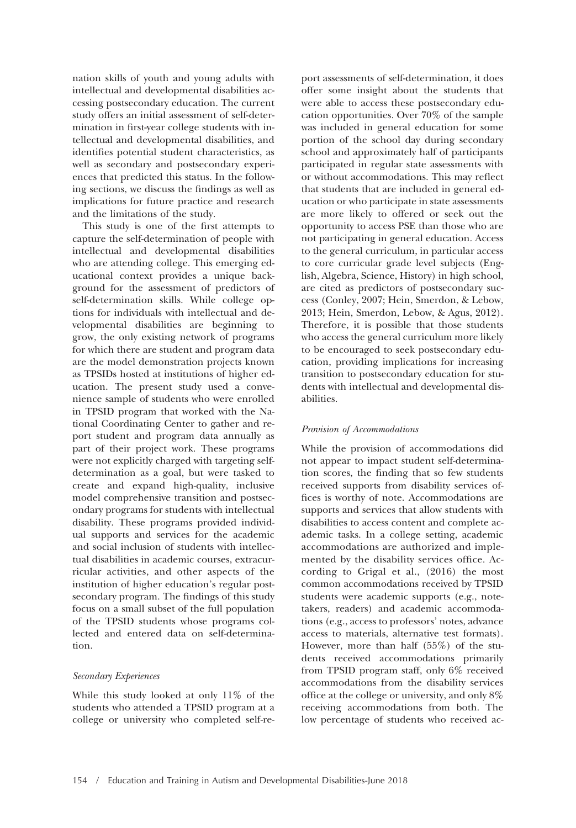nation skills of youth and young adults with intellectual and developmental disabilities accessing postsecondary education. The current study offers an initial assessment of self-determination in first-year college students with intellectual and developmental disabilities, and identifies potential student characteristics, as well as secondary and postsecondary experiences that predicted this status. In the following sections, we discuss the findings as well as implications for future practice and research and the limitations of the study.

This study is one of the first attempts to capture the self-determination of people with intellectual and developmental disabilities who are attending college. This emerging educational context provides a unique background for the assessment of predictors of self-determination skills. While college options for individuals with intellectual and developmental disabilities are beginning to grow, the only existing network of programs for which there are student and program data are the model demonstration projects known as TPSIDs hosted at institutions of higher education. The present study used a convenience sample of students who were enrolled in TPSID program that worked with the National Coordinating Center to gather and report student and program data annually as part of their project work. These programs were not explicitly charged with targeting selfdetermination as a goal, but were tasked to create and expand high-quality, inclusive model comprehensive transition and postsecondary programs for students with intellectual disability. These programs provided individual supports and services for the academic and social inclusion of students with intellectual disabilities in academic courses, extracurricular activities, and other aspects of the institution of higher education's regular postsecondary program. The findings of this study focus on a small subset of the full population of the TPSID students whose programs collected and entered data on self-determination.

## *Secondary Experiences*

While this study looked at only 11% of the students who attended a TPSID program at a college or university who completed self-report assessments of self-determination, it does offer some insight about the students that were able to access these postsecondary education opportunities. Over 70% of the sample was included in general education for some portion of the school day during secondary school and approximately half of participants participated in regular state assessments with or without accommodations. This may reflect that students that are included in general education or who participate in state assessments are more likely to offered or seek out the opportunity to access PSE than those who are not participating in general education. Access to the general curriculum, in particular access to core curricular grade level subjects (English, Algebra, Science, History) in high school, are cited as predictors of postsecondary success (Conley, 2007; Hein, Smerdon, & Lebow, 2013; Hein, Smerdon, Lebow, & Agus, 2012). Therefore, it is possible that those students who access the general curriculum more likely to be encouraged to seek postsecondary education, providing implications for increasing transition to postsecondary education for students with intellectual and developmental disabilities.

#### *Provision of Accommodations*

While the provision of accommodations did not appear to impact student self-determination scores, the finding that so few students received supports from disability services offices is worthy of note. Accommodations are supports and services that allow students with disabilities to access content and complete academic tasks. In a college setting, academic accommodations are authorized and implemented by the disability services office. According to Grigal et al., (2016) the most common accommodations received by TPSID students were academic supports (e.g., notetakers, readers) and academic accommodations (e.g., access to professors' notes, advance access to materials, alternative test formats). However, more than half (55%) of the students received accommodations primarily from TPSID program staff, only 6% received accommodations from the disability services office at the college or university, and only 8% receiving accommodations from both. The low percentage of students who received ac-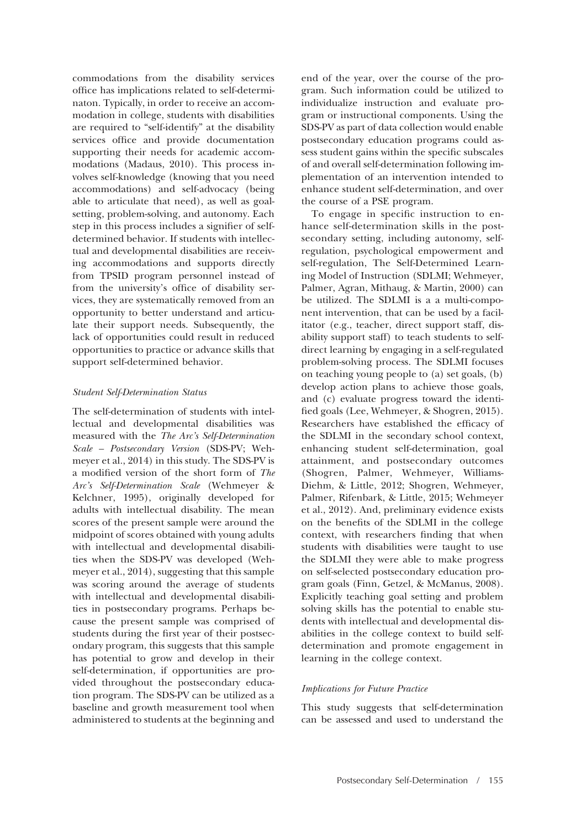commodations from the disability services office has implications related to self-determinaton. Typically, in order to receive an accommodation in college, students with disabilities are required to "self-identify" at the disability services office and provide documentation supporting their needs for academic accommodations (Madaus, 2010). This process involves self-knowledge (knowing that you need accommodations) and self-advocacy (being able to articulate that need), as well as goalsetting, problem-solving, and autonomy. Each step in this process includes a signifier of selfdetermined behavior. If students with intellectual and developmental disabilities are receiving accommodations and supports directly from TPSID program personnel instead of from the university's office of disability services, they are systematically removed from an opportunity to better understand and articulate their support needs. Subsequently, the lack of opportunities could result in reduced opportunities to practice or advance skills that support self-determined behavior.

## *Student Self-Determination Status*

The self-determination of students with intellectual and developmental disabilities was measured with the *The Arc's Self-Determination Scale – Postsecondary Version* (SDS-PV; Wehmeyer et al., 2014) in this study. The SDS-PV is a modified version of the short form of *The Arc's Self-Determination Scale* (Wehmeyer & Kelchner, 1995), originally developed for adults with intellectual disability. The mean scores of the present sample were around the midpoint of scores obtained with young adults with intellectual and developmental disabilities when the SDS-PV was developed (Wehmeyer et al., 2014), suggesting that this sample was scoring around the average of students with intellectual and developmental disabilities in postsecondary programs. Perhaps because the present sample was comprised of students during the first year of their postsecondary program, this suggests that this sample has potential to grow and develop in their self-determination, if opportunities are provided throughout the postsecondary education program. The SDS-PV can be utilized as a baseline and growth measurement tool when administered to students at the beginning and end of the year, over the course of the program. Such information could be utilized to individualize instruction and evaluate program or instructional components. Using the SDS-PV as part of data collection would enable postsecondary education programs could assess student gains within the specific subscales of and overall self-determination following implementation of an intervention intended to enhance student self-determination, and over the course of a PSE program.

To engage in specific instruction to enhance self-determination skills in the postsecondary setting, including autonomy, selfregulation, psychological empowerment and self-regulation, The Self-Determined Learning Model of Instruction (SDLMI; Wehmeyer, Palmer, Agran, Mithaug, & Martin, 2000) can be utilized. The SDLMI is a a multi-component intervention, that can be used by a facilitator (e.g., teacher, direct support staff, disability support staff) to teach students to selfdirect learning by engaging in a self-regulated problem-solving process. The SDLMI focuses on teaching young people to (a) set goals, (b) develop action plans to achieve those goals, and (c) evaluate progress toward the identified goals (Lee, Wehmeyer, & Shogren, 2015). Researchers have established the efficacy of the SDLMI in the secondary school context, enhancing student self-determination, goal attainment, and postsecondary outcomes (Shogren, Palmer, Wehmeyer, Williams-Diehm, & Little, 2012; Shogren, Wehmeyer, Palmer, Rifenbark, & Little, 2015; Wehmeyer et al., 2012). And, preliminary evidence exists on the benefits of the SDLMI in the college context, with researchers finding that when students with disabilities were taught to use the SDLMI they were able to make progress on self-selected postsecondary education program goals (Finn, Getzel, & McManus, 2008). Explicitly teaching goal setting and problem solving skills has the potential to enable students with intellectual and developmental disabilities in the college context to build selfdetermination and promote engagement in learning in the college context.

## *Implications for Future Practice*

This study suggests that self-determination can be assessed and used to understand the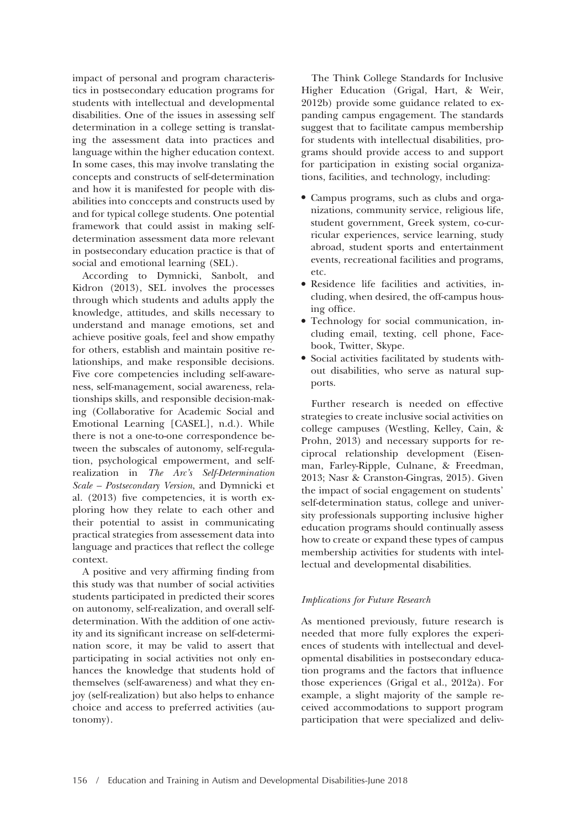impact of personal and program characteristics in postsecondary education programs for students with intellectual and developmental disabilities. One of the issues in assessing self determination in a college setting is translating the assessment data into practices and language within the higher education context. In some cases, this may involve translating the concepts and constructs of self-determination and how it is manifested for people with disabilities into conccepts and constructs used by and for typical college students. One potential framework that could assist in making selfdetermination assessment data more relevant in postsecondary education practice is that of social and emotional learning (SEL).

According to Dymnicki, Sanbolt, and Kidron (2013), SEL involves the processes through which students and adults apply the knowledge, attitudes, and skills necessary to understand and manage emotions, set and achieve positive goals, feel and show empathy for others, establish and maintain positive relationships, and make responsible decisions. Five core competencies including self-awareness, self-management, social awareness, relationships skills, and responsible decision-making (Collaborative for Academic Social and Emotional Learning [CASEL], n.d.). While there is not a one-to-one correspondence between the subscales of autonomy, self-regulation, psychological empowerment, and selfrealization in *The Arc's Self-Determination Scale – Postsecondary Version*, and Dymnicki et al. (2013) five competencies, it is worth exploring how they relate to each other and their potential to assist in communicating practical strategies from assessement data into language and practices that reflect the college context.

A positive and very affirming finding from this study was that number of social activities students participated in predicted their scores on autonomy, self-realization, and overall selfdetermination. With the addition of one activity and its significant increase on self-determination score, it may be valid to assert that participating in social activities not only enhances the knowledge that students hold of themselves (self-awareness) and what they enjoy (self-realization) but also helps to enhance choice and access to preferred activities (autonomy).

The Think College Standards for Inclusive Higher Education (Grigal, Hart, & Weir, 2012b) provide some guidance related to expanding campus engagement. The standards suggest that to facilitate campus membership for students with intellectual disabilities, programs should provide access to and support for participation in existing social organizations, facilities, and technology, including:

- Campus programs, such as clubs and organizations, community service, religious life, student government, Greek system, co-curricular experiences, service learning, study abroad, student sports and entertainment events, recreational facilities and programs, etc.
- Residence life facilities and activities, including, when desired, the off-campus housing office.
- Technology for social communication, including email, texting, cell phone, Facebook, Twitter, Skype.
- Social activities facilitated by students without disabilities, who serve as natural supports.

Further research is needed on effective strategies to create inclusive social activities on college campuses (Westling, Kelley, Cain, & Prohn, 2013) and necessary supports for reciprocal relationship development (Eisenman, Farley-Ripple, Culnane, & Freedman, 2013; Nasr & Cranston-Gingras, 2015). Given the impact of social engagement on students' self-determination status, college and university professionals supporting inclusive higher education programs should continually assess how to create or expand these types of campus membership activities for students with intellectual and developmental disabilities.

# *Implications for Future Research*

As mentioned previously, future research is needed that more fully explores the experiences of students with intellectual and developmental disabilities in postsecondary education programs and the factors that influence those experiences (Grigal et al., 2012a). For example, a slight majority of the sample received accommodations to support program participation that were specialized and deliv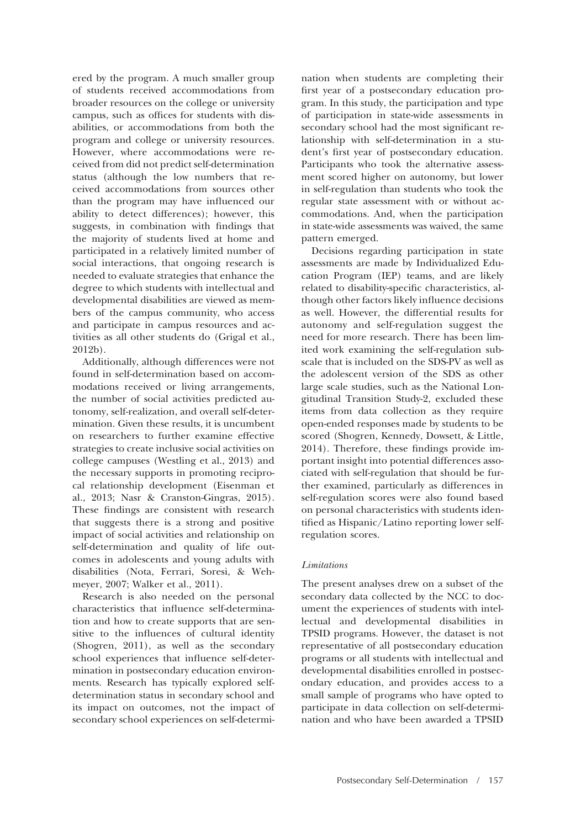ered by the program. A much smaller group of students received accommodations from broader resources on the college or university campus, such as offices for students with disabilities, or accommodations from both the program and college or university resources. However, where accommodations were received from did not predict self-determination status (although the low numbers that received accommodations from sources other than the program may have influenced our ability to detect differences); however, this suggests, in combination with findings that the majority of students lived at home and participated in a relatively limited number of social interactions, that ongoing research is needed to evaluate strategies that enhance the degree to which students with intellectual and developmental disabilities are viewed as members of the campus community, who access and participate in campus resources and activities as all other students do (Grigal et al., 2012b).

Additionally, although differences were not found in self-determination based on accommodations received or living arrangements, the number of social activities predicted autonomy, self-realization, and overall self-determination. Given these results, it is uncumbent on researchers to further examine effective strategies to create inclusive social activities on college campuses (Westling et al., 2013) and the necessary supports in promoting reciprocal relationship development (Eisenman et al., 2013; Nasr & Cranston-Gingras, 2015). These findings are consistent with research that suggests there is a strong and positive impact of social activities and relationship on self-determination and quality of life outcomes in adolescents and young adults with disabilities (Nota, Ferrari, Soresi, & Wehmeyer, 2007; Walker et al., 2011).

Research is also needed on the personal characteristics that influence self-determination and how to create supports that are sensitive to the influences of cultural identity (Shogren, 2011), as well as the secondary school experiences that influence self-determination in postsecondary education environments. Research has typically explored selfdetermination status in secondary school and its impact on outcomes, not the impact of secondary school experiences on self-determination when students are completing their first year of a postsecondary education program. In this study, the participation and type of participation in state-wide assessments in secondary school had the most significant relationship with self-determination in a student's first year of postsecondary education. Participants who took the alternative assessment scored higher on autonomy, but lower in self-regulation than students who took the regular state assessment with or without accommodations. And, when the participation in state-wide assessments was waived, the same pattern emerged.

Decisions regarding participation in state assessments are made by Individualized Education Program (IEP) teams, and are likely related to disability-specific characteristics, although other factors likely influence decisions as well. However, the differential results for autonomy and self-regulation suggest the need for more research. There has been limited work examining the self-regulation subscale that is included on the SDS-PV as well as the adolescent version of the SDS as other large scale studies, such as the National Longitudinal Transition Study-2, excluded these items from data collection as they require open-ended responses made by students to be scored (Shogren, Kennedy, Dowsett, & Little, 2014). Therefore, these findings provide important insight into potential differences associated with self-regulation that should be further examined, particularly as differences in self-regulation scores were also found based on personal characteristics with students identified as Hispanic/Latino reporting lower selfregulation scores.

# *Limitations*

The present analyses drew on a subset of the secondary data collected by the NCC to document the experiences of students with intellectual and developmental disabilities in TPSID programs. However, the dataset is not representative of all postsecondary education programs or all students with intellectual and developmental disabilities enrolled in postsecondary education, and provides access to a small sample of programs who have opted to participate in data collection on self-determination and who have been awarded a TPSID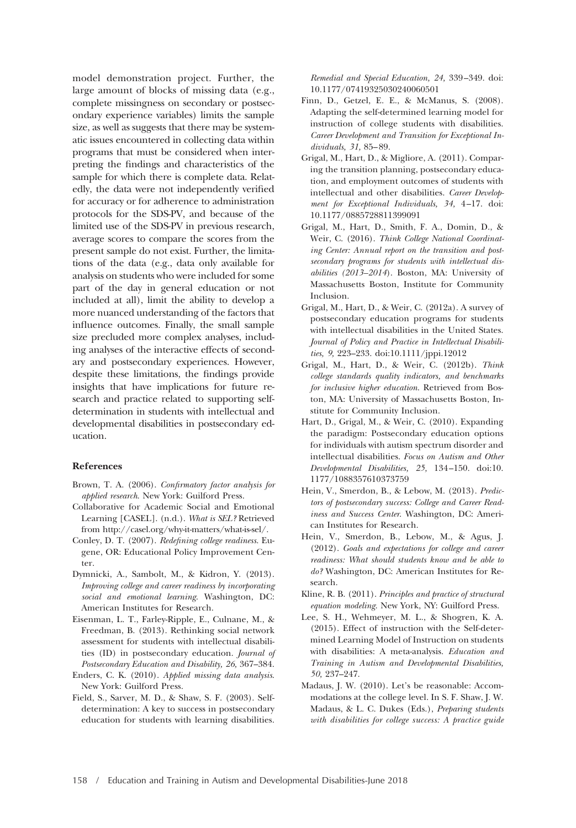model demonstration project. Further, the large amount of blocks of missing data (e.g., complete missingness on secondary or postsecondary experience variables) limits the sample size, as well as suggests that there may be systematic issues encountered in collecting data within programs that must be considered when interpreting the findings and characteristics of the sample for which there is complete data. Relatedly, the data were not independently verified for accuracy or for adherence to administration protocols for the SDS-PV, and because of the limited use of the SDS-PV in previous research, average scores to compare the scores from the present sample do not exist. Further, the limitations of the data (e.g., data only available for analysis on students who were included for some part of the day in general education or not included at all), limit the ability to develop a more nuanced understanding of the factors that influence outcomes. Finally, the small sample size precluded more complex analyses, including analyses of the interactive effects of secondary and postsecondary experiences. However, despite these limitations, the findings provide insights that have implications for future research and practice related to supporting selfdetermination in students with intellectual and developmental disabilities in postsecondary education.

## **References**

- Brown, T. A. (2006). *Confirmatory factor analysis for applied research*. New York: Guilford Press.
- Collaborative for Academic Social and Emotional Learning [CASEL]. (n.d.). *What is SEL?* Retrieved from [http://casel.org/why-it-matters/what-is-sel/.](http://casel.org/why-it-matters/what-is-sel/)
- Conley, D. T. (2007). *Redefining college readiness*. Eugene, OR: Educational Policy Improvement Center.
- Dymnicki, A., Sambolt, M., & Kidron, Y. (2013). *Improving college and career readiness by incorporating social and emotional learning*. Washington, DC: American Institutes for Research.
- Eisenman, L. T., Farley-Ripple, E., Culnane, M., & Freedman, B. (2013). Rethinking social network assessment for students with intellectual disabilities (ID) in postsecondary education. *Journal of Postsecondary Education and Disability, 26,* 367–384.
- Enders, C. K. (2010). *Applied missing data analysis*. New York: Guilford Press.
- Field, S., Sarver, M. D., & Shaw, S. F. (2003). Selfdetermination: A key to success in postsecondary education for students with learning disabilities.

*Remedial and Special Education, 24,* 339 –349. doi: 10.1177/07419325030240060501

- Finn, D., Getzel, E. E., & McManus, S. (2008). Adapting the self-determined learning model for instruction of college students with disabilities. *Career Development and Transition for Exceptional Individuals, 31,* 85– 89.
- Grigal, M., Hart, D., & Migliore, A. (2011). Comparing the transition planning, postsecondary education, and employment outcomes of students with intellectual and other disabilities. *Career Development for Exceptional Individuals, 34,* 4 –17. doi: 10.1177/0885728811399091
- Grigal, M., Hart, D., Smith, F. A., Domin, D., & Weir, C. (2016). *Think College National Coordinating Center: Annual report on the transition and postsecondary programs for students with intellectual disabilities (2013–2014*). Boston, MA: University of Massachusetts Boston, Institute for Community Inclusion.
- Grigal, M., Hart, D., & Weir, C. (2012a). A survey of postsecondary education programs for students with intellectual disabilities in the United States. *Journal of Policy and Practice in Intellectual Disabilities, 9,* 223–233. doi:10.1111/jppi.12012
- Grigal, M., Hart, D., & Weir, C. (2012b). *Think college standards quality indicators, and benchmarks for inclusive higher education*. Retrieved from Boston, MA: University of Massachusetts Boston, Institute for Community Inclusion.
- Hart, D., Grigal, M., & Weir, C. (2010). Expanding the paradigm: Postsecondary education options for individuals with autism spectrum disorder and intellectual disabilities. *Focus on Autism and Other Developmental Disabilities, 25,* 134 –150. doi:10. 1177/1088357610373759
- Hein, V., Smerdon, B., & Lebow, M. (2013). *Predictors of postsecondary success: College and Career Readiness and Success Center*. Washington, DC: American Institutes for Research.
- Hein, V., Smerdon, B., Lebow, M., & Agus, J. (2012). *Goals and expectations for college and career readiness: What should students know and be able to do?* Washington, DC: American Institutes for Research.
- Kline, R. B. (2011). *Principles and practice of structural equation modeling*. New York, NY: Guilford Press.
- Lee, S. H., Wehmeyer, M. L., & Shogren, K. A. (2015). Effect of instruction with the Self-determined Learning Model of Instruction on students with disabilities: A meta-analysis. *Education and Training in Autism and Developmental Disabilities, 50,* 237–247.
- Madaus, J. W. (2010). Let's be reasonable: Accommodations at the college level. In S. F. Shaw, J. W. Madaus, & L. C. Dukes (Eds.), *Preparing students with disabilities for college success: A practice guide*